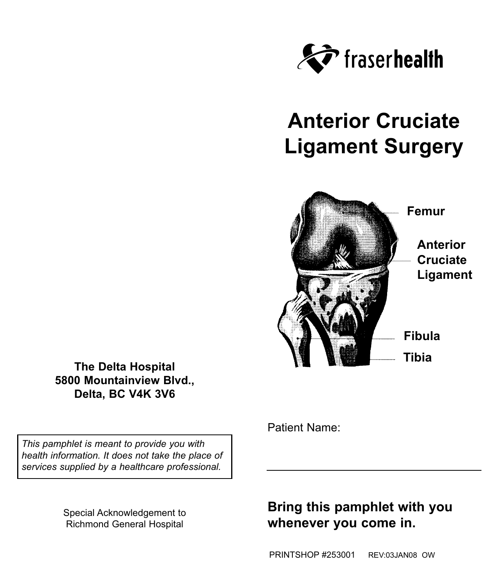

# **Anterior Cruciate Ligament Surgery**



**The Delta Hospital 5800 Mountainview Blvd., Delta, BC V4K 3V6**

*This pamphlet is meant to provide you with health information. It does not take the place of services supplied by a healthcare professional.*

> Special Acknowledgement to Richmond General Hospital

Patient Name:

## **Bring this pamphlet with you whenever you come in.**

PRINTSHOP #253001 REV:03JAN08 OW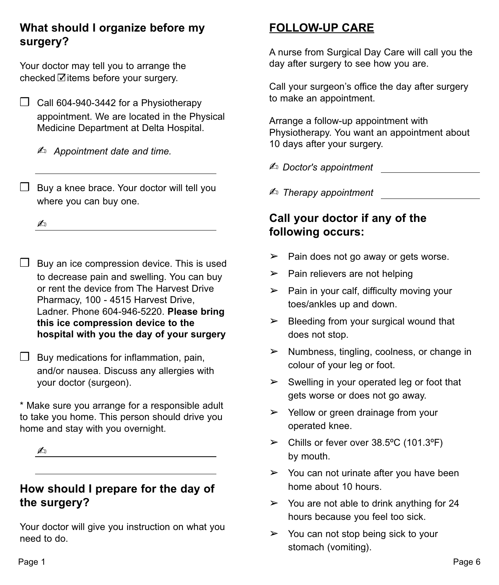#### **What should I organize before my surgery?**

Your doctor may tell you to arrange the checked Øitems before your surgery.

❒ Call 604-940-3442 for a Physiotherapy appointment. We are located in the Physical Medicine Department at Delta Hospital.

✍ *Appointment date and time.*

❒ Buy a knee brace. Your doctor will tell you where you can buy one.

 $\overline{\mathcal{A}}$ 

- ❒ Buy an ice compression device. This is used to decrease pain and swelling. You can buy or rent the device from The Harvest Drive Pharmacy, 100 - 4515 Harvest Drive, Ladner. Phone 604-946-5220. **Please bring this ice compression device to the hospital with you the day of your surgery**
- $\Box$  Buy medications for inflammation, pain, and/or nausea. Discuss any allergies with your doctor (surgeon).

\* Make sure you arrange for a responsible adult to take you home. This person should drive you home and stay with you overnight.

#### ✍

#### **How should I prepare for the day of the surgery?**

Your doctor will give you instruction on what you need to do.

## **FOLLOW-UP CARE**

A nurse from Surgical Day Care will call you the day after surgery to see how you are.

Call your surgeon's office the day after surgery to make an appointment.

Arrange a follow-up appointment with Physiotherapy. You want an appointment about 10 days after your surgery.

✍ *Doctor's appointment*

✍ *Therapy appointment*

#### **Call your doctor if any of the following occurs:**

- $\triangleright$  Pain does not go away or gets worse.
- $\triangleright$  Pain relievers are not helping
- $\triangleright$  Pain in your calf, difficulty moving your toes/ankles up and down.
- $\triangleright$  Bleeding from your surgical wound that does not stop.
- $\triangleright$  Numbness, tingling, coolness, or change in colour of your leg or foot.
- $\triangleright$  Swelling in your operated leg or foot that gets worse or does not go away.
- $\triangleright$  Yellow or green drainage from your operated knee.
- $\geq$  Chills or fever over 38.5°C (101.3°F) by mouth.
- $\geq$  You can not urinate after you have been home about 10 hours.
- $\geq$  You are not able to drink anything for 24 hours because you feel too sick.
- $\triangleright$  You can not stop being sick to your stomach (vomiting).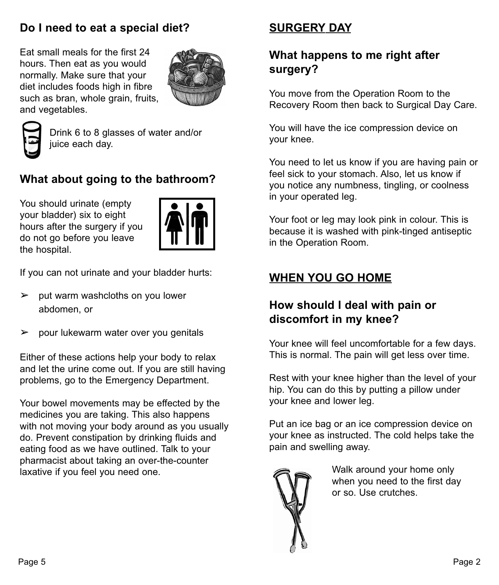### **Do I need to eat a special diet?**

Eat small meals for the first 24 hours. Then eat as you would normally. Make sure that your diet includes foods high in fibre such as bran, whole grain, fruits, and vegetables.





Drink 6 to 8 glasses of water and/or juice each day.

## **What about going to the bathroom?**

You should urinate (empty your bladder) six to eight hours after the surgery if you do not go before you leave the hospital.



If you can not urinate and your bladder hurts:

- $\geq$  put warm washcloths on you lower abdomen, or
- $\geq$  pour lukewarm water over you genitals

Either of these actions help your body to relax and let the urine come out. If you are still having problems, go to the Emergency Department.

Your bowel movements may be effected by the medicines you are taking. This also happens with not moving your body around as you usually do. Prevent constipation by drinking fluids and eating food as we have outlined. Talk to your pharmacist about taking an over-the-counter laxative if you feel you need one.

### **SURGERY DAY**

#### **What happens to me right after surgery?**

You move from the Operation Room to the Recovery Room then back to Surgical Day Care.

You will have the ice compression device on your knee.

You need to let us know if you are having pain or feel sick to your stomach. Also, let us know if you notice any numbness, tingling, or coolness in your operated leg.

Your foot or leg may look pink in colour. This is because it is washed with pink-tinged antiseptic in the Operation Room.

## **WHEN YOU GO HOME**

### **How should I deal with pain or discomfort in my knee?**

Your knee will feel uncomfortable for a few days. This is normal. The pain will get less over time.

Rest with your knee higher than the level of your hip. You can do this by putting a pillow under your knee and lower leg.

Put an ice bag or an ice compression device on your knee as instructed. The cold helps take the pain and swelling away.



Walk around your home only when you need to the first day or so. Use crutches.